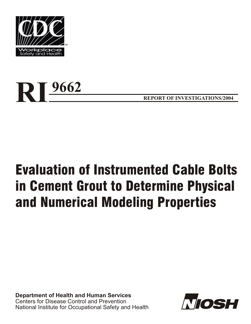



**REPORT OF INVESTIGATIONS/2004** 

# Evaluation of Instrumented Cable Bolts in Cement Grout to Determine Physical and Numerical Modeling Properties

**Department of Health and Human Services** Centers for Disease Control and Prevention National Institute for Occupational Safety and Health

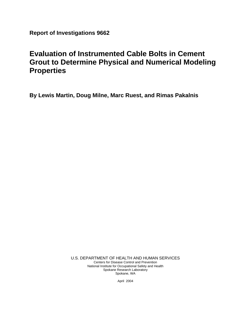**Report of Investigations 9662** 

# **Evaluation of Instrumented Cable Bolts in Cement Grout to Determine Physical and Numerical Modeling Properties**

**By Lewis Martin, Doug Milne, Marc Ruest, and Rimas Pakalnis** 

U.S. DEPARTMENT OF HEALTH AND HUMAN SERVICES Centers for Disease Control and Prevention National Institute for Occupational Safety and Health Spokane Research Laboratory Spokane, WA

April 2004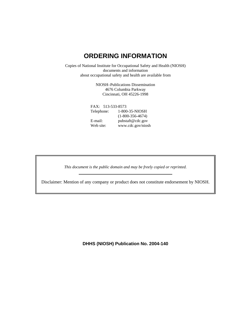# **ORDERING INFORMATION**

Copies of National Institute for Occupational Safety and Health (NIOSH) documents and information about occupational safety and health are available from

> NIOSH–Publications Dissemination 4676 Columbia Parkway Cincinnati, OH 45226-1998

 FAX: 513-533-8573 Telephone: 1-800-35-NIOSH (1-800-356-4674) E-mail: pubstaft@cdc.gov Web site: www.cdc.gov/niosh

*This document is the public domain and may be freely copied or reprinted.* 

Disclaimer: Mention of any company or product does not constitute endorsement by NIOSH.

**DHHS (NIOSH) Publication No. 2004-140**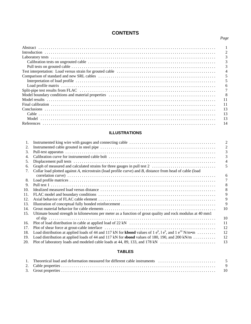# **CONTENTS**

*Page* 

|                                                                                                                                                                                                                                | $\mathcal{D}_{\mathcal{A}}$ |
|--------------------------------------------------------------------------------------------------------------------------------------------------------------------------------------------------------------------------------|-----------------------------|
|                                                                                                                                                                                                                                |                             |
|                                                                                                                                                                                                                                |                             |
|                                                                                                                                                                                                                                |                             |
|                                                                                                                                                                                                                                |                             |
|                                                                                                                                                                                                                                |                             |
|                                                                                                                                                                                                                                |                             |
|                                                                                                                                                                                                                                | 6                           |
|                                                                                                                                                                                                                                |                             |
| Model boundary conditions and material properties electron contracts to contain the set of the set of the set of the set of the set of the set of the set of the set of the set of the set of the set of the set of the set of | -8                          |
|                                                                                                                                                                                                                                |                             |
|                                                                                                                                                                                                                                | 11                          |
|                                                                                                                                                                                                                                | 13                          |
|                                                                                                                                                                                                                                | 13                          |
|                                                                                                                                                                                                                                | 13                          |
|                                                                                                                                                                                                                                | 14                          |

# **ILLUSTRATIONS**

| 1.  |                                                                                                                         |    |
|-----|-------------------------------------------------------------------------------------------------------------------------|----|
| 2.  |                                                                                                                         |    |
| 3.  |                                                                                                                         |    |
| 4.  |                                                                                                                         |    |
| 5.  |                                                                                                                         |    |
| 6.  |                                                                                                                         |    |
| 7.  | Collar load plotted against A, microstrain (load profile curve) and B, distance from head of cable (load                |    |
|     |                                                                                                                         | 6  |
| 8.  |                                                                                                                         |    |
| 9.  |                                                                                                                         | 8  |
| 10. |                                                                                                                         | 8  |
| 11. |                                                                                                                         | 9  |
| 12. |                                                                                                                         | 9  |
| 13. |                                                                                                                         | 9  |
| 14. |                                                                                                                         | 10 |
| 15. | Ultimate bound strength in kilonewtons per meter as a function of grout quality and rock modulus at 40 mm1              |    |
|     |                                                                                                                         | 10 |
| 16. |                                                                                                                         | 11 |
| 17. |                                                                                                                         | 12 |
| 18. | Load distribution at applied loads of 44 and 117 kN for <b>kbond</b> values of 1 $e^8$ , 1 $e^9$ , and 1 $e^{10}$ N/m•m | 12 |
| 19. | Load distribution at applied loads of 44 and 117 kN for <b>sbond</b> values of 180, 190, and 200 kN/m                   | 12 |
| 20. |                                                                                                                         | 13 |

## **TABLES**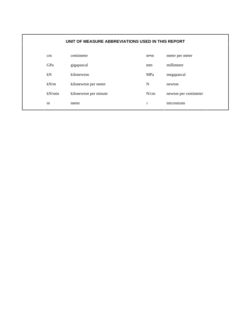| UNIT OF MEASURE ABBREVIATIONS USED IN THIS REPORT |                       |                 |                       |  |
|---------------------------------------------------|-----------------------|-----------------|-----------------------|--|
| $\rm cm$                                          | centimeter            | m <sub>em</sub> | meter per meter       |  |
| GPa                                               | gigapascal            | mm              | millimeter            |  |
| kN                                                | kilonewton            | MPa             | megapascal            |  |
| kN/m                                              | kilonewton per meter  | N               | newton                |  |
| kN/min                                            | kilonewton per minute | N/cm            | newton per centimeter |  |
| m                                                 | meter                 | $\epsilon$      | microstrain           |  |
|                                                   |                       |                 |                       |  |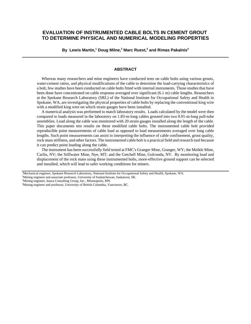# **EVALUATION OF INSTRUMENTED CABLE BOLTS IN CEMENT GROUT TO DETERMINE PHYSICAL AND NUMERICAL MODELING PROPERTIES**

**By Lewis Martin,1 Doug Milne,2 Marc Ruest,3 and Rimas Pakalnis4** 

#### **ABSTRACT**

Whereas many researchers and mine engineers have conducted tests on cable bolts using various grouts, water:cement ratios, and physical modifications of the cable to determine the load-carrying characteristics of a bolt, few studies have been conducted on cable bolts fitted with internal instruments. Those studies that have been done have concentrated on cable response averaged over significant (6.1 m) cable lengths. Researchers at the Spokane Research Laboratory (SRL) of the National Institute for Occupational Safety and Health in Spokane, WA, are investigating the physical properties of cable bolts by replacing the conventional king wire with a modified king wire on which strain gauges have been installed.

A numerical analysis was performed to match laboratory results. Loads calculated by the model were then compared to loads measured in the laboratory on 1.83-m-long cables grouted into two 0.91-m-long pull-tube assemblies. Load along the cable was monitored with 20 strain gauges installed along the length of the cable. This paper documents test results on these modified cable bolts. The instrumented cable bolt provided reproducible point measurements of cable load as opposed to load measurements averaged over long cable lengths. Such point measurements can assist in interpreting the influence of cable confinement, grout quality, rock mass stiffness, and other factors. The instrumented cable bolt is a practical field and research tool because it can predict point loading along the cable.

The instrument has been successfully field tested at FMC's Granger Mine, Granger, WY; the Meikle Mine, Carlin, NV; the Stillwater Mine, Nye, MT; and the Getchell Mine, Golconda, NV. By monitoring load and displacement of the rock mass using these instrumented bolts, more-effective ground support can be selected and installed, which will lead to safer working conditions for miners.

1 Mechanical engineer, Spokane Research Laboratory, National Institute for Occupational Safety and Health, Spokane, WA.

<sup>2</sup>Mining engineer and associate professor, University of Saskatchewan, Saskatoon, SK.

<sup>3</sup>Mining engineer, Itasca Consulting Group, Inc., Minneapolis, MN.

<sup>4</sup> Mining engineer and professor, University of British Columbia, Vancouver, BC.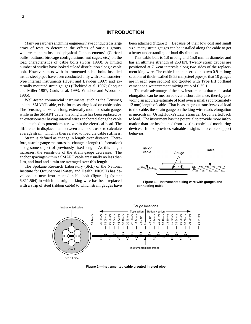#### **INTRODUCTION**

Many researchers and mine engineers have conducted a large array of tests to determine the effects of various grouts, water:cement ratios, and physical "enhancements" (Garford bulbs, buttons, birdcage configurations, nut cages, etc.) on the load characteristics of cable bolts (Goris 1990). A limited number of studies have looked at load distribution along a cable bolt. However, tests with instrumented cable bolts installed inside steel pipes have been conducted only with extensometertype internal instruments (Hyett and Bawden 1997) and externally mounted strain gauges (Chekired et al. 1997; Choquet and Miller 1987; Goris et al. 1993; Windsor and Worotniki 1986).

Well-tested commercial instruments, such as the Tensmeg and the SMART cable, exist for measuring load on cable bolts. The Tensmeg is a 60-cm-long, externally mounted strain gauge, while in the SMART cable, the king wire has been replaced by an extensometer having internal wires anchored along the cable and attached to potentiometers within the electrical head. The difference in displacement between anchors is used to calculate average strain, which is then related to load via cable stiffness.

Strain is defined as change in length over distance. Therefore, a strain gauge measures the change in length (deformation) along some object of previously fixed length. As this length increases, the sensitivity of the strain gauge decreases. The anchor spacings within a SMART cable are usually no less than 1 m, and load and strain are averaged over this length.

The Spokane Research Laboratory (SRL) of the National Institute for Occupational Safety and Health (NIOSH) has developed a new instrumented cable bolt (figure 1) (patent 6,311,564) in which the original king wire has been replaced with a strip of steel (ribbon cable) to which strain gauges have been attached (figure 2). Because of their low cost and small size, many strain gauges can be installed along the cable to get a better understanding of load distribution.

This cable bolt is 1.8 m long and 15.8 mm in diameter and has an ultimate strength of 258 kN. Twenty strain gauges are positioned at 7.6-cm intervals along two sides of the replacement king wire. The cable is then inserted into two 0.9-m-long sections of thick- walled (8.55 mm) steel pipe (so that 10 gauges are in each pipe section) and grouted with Type I/II portland cement at a water:cement mixing ratio of 0.35:1.

The main advantage of the new instrument is that cable axial elongation can be measured over a short distance, thereby providing an accurate estimate of load over a small (approximately 13 mm) length of cable. That is, as the grout transfers axial load to the cable, the strain gauge on the king wire reads elongation in microstrain. Using Hooke's Law, strain can be converted back to load. The instrument has the potential to provide more information than can be obtained from existing cable load monitoring devices. It also provides valuable insights into cable support behavior.



**Figure 1.—Instrumented king wire with gauges and connecting cable.** 



**Figure 2.—Instrumented cable grouted in steel pipe.**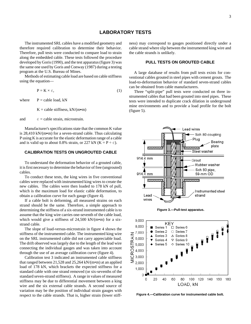# **LABORATORY TESTS**

The instrumented SRL cables have a modified geometry and therefore required calibration to determine their behavior. Therefore, pull tests were conducted to compare load to strain along the embedded cable. These tests followed the procedure developed by Goris (1990), and the test apparatus (figure 3) was the same one used by Goris and Conway (1987) during a testing program at the U.S. Bureau of Mines.

Methods of estimating cable load are based on cable stiffness using the equation—

$$
P = K \times \epsilon,\tag{1}
$$

where  $P =$  cable load, kN

 $K =$  cable stiffness, kN/(m•m)

and  $\epsilon$  = cable strain, microstrain.

Manufacturer's specifications state that the common K value is  $28,410 \text{ kN/(m\text{-}m)}$  for a seven-strand cable. Thus calculating P using K is accurate for the elastic deformation range of a cable and is valid up to about 0.8% strain, or 227 kN ( $K = P \div \epsilon$ ).

#### **CALIBRATION TESTS ON UNGROUTED CABLE**

To understand the deformation behavior of a grouted cable, it is first necessary to determine the behavior of free (ungrouted) cables.

To conduct these tests, the king wires in five conventional cables were replaced with instrumented king wires to create the new cables. The cables were then loaded to 178 kN of pull, which is the maximum load for elastic cable deformation, to obtain a calibration curve for each gauge (figure 4).

If a cable bolt is deforming, all measured strains on each strand should be the same. Therefore, a simple approach to determining the stiffness of a six-strand instrumented cable is to assume that the king wire carries one-seventh of the cable load, which would give a stiffness of 24,500 kN/(m•m) for a sixstrand cable.

The slope of load-versus-microstrain in figure 4 shows the stiffness of the instrumented cable. The instrumented king wire on the SRL instrumented cable did not carry appreciable load. The drift observed was largely due to the length of the lead wire connecting the individual gauges and was taken into account through the use of an average calibration curve (figure 4).

Calibration test 3 indicated an instrumented cable stiffness that ranged between 21,528 and 25,264 kN/(m•m) at an applied load of 178 kN, which brackets the expected stiffness for a standard cable with one strand removed (or six-sevenths of the standard seven-strand stiffness). A range in values of measured stiffness may be due to differential movement between a king wire and the six external cable strands. A second source of variation may be the position of individual strain gauges with respect to the cable strands. That is, higher strain (lower stiffness) may correspond to gauges positioned directly under a cable strand where slip between the instrumented king wire and the cable strands is unlikely.

#### **PULL TESTS ON GROUTED CABLE**

A large database of results from pull tests exists for conventional cables grouted in steel pipes with cement grouts. The load-to-deformation behavior of standard seven-strand cables can be obtained from cable manufacturers.

Three "split-pipe" pull tests were conducted on three instrumented cables that had been grouted into steel pipes. These tests were intended to duplicate crack dilation in underground mine environments and to provide a load profile for the bolt (figure 5).







**Figure 4.—Calibration curve for instrumented cable bolt.**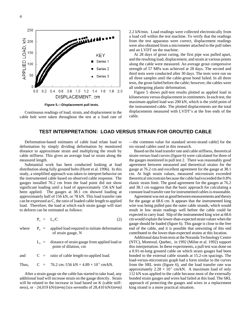

**Figure 5.—Displacement pull tests.** 

Continuous readings of load, strain, and displacement in the cable bolt were taken throughout the test at a load rate of 2. 2 kN/min. Load readings were collected electronically from a load cell within the test machine. To verify that the readings fr om the test apparatus were correct, displacement readings w ere also obtained from a micrometer attached to the pull tubes a nd an LVDT on the machine.

a nd the resulting load, displacement, and strain at various points al ong the cable were measured. An average grout compressive st rength of 57 MPa was achieved at 28 days. The second and th ird tests were conducted after 30 days. The tests were run on al l three samples until the cable-grout bond failed. In all three te sts, the grout failed before the cable; however, the cables were al l undergoing plastic deformation. At 28 days of grout curing, the first pipe was pulled apart,

ki lonewtons versus displacement in centimeters. In each test, the m aximum applied load was 200 kN, which is the yield point of Figure 5 shows pull-test results plotted as applied load in the instrumented cable. The plotted displacements are the total displacements measured with LVDT's at the free ends of the cable.

# **TEST INTERPRETATION: LOAD VERSUS STRAIN FOR GROUTED CABLE**

 cable stiffness. This gives an average load or strain along the Deformation-based estimates of cable load relate load to deformation by simply dividing deformation by monitored distance to approximate strain and multiplying the result by measured length.

 gauges installed 76.2 cm from the load point did not show significant loading until a load of approximately 156 kN had Substantial work has been conducted looking at load distribution along fully grouted bolts (Hyett et al. 1996). In this study, a simplified approach was taken to interpret behavior on the instrumented cable based on observed cable response. The been applied. The gauges at 38.1 cm showed loading at approximately half of 156 kN, or 78 kN. This load transfer rate can be expressed as C, the ratio of loaded cable length to applied load. Therefore, the load at which each strain gauge will start to deform can be estimated as follows:

$$
P_o = L_o/C \tag{2}
$$

where  $P_0 =$  applied load required to initiate deformation of strain gauge, N

> $L<sub>o</sub>$  = distance of strain gauge from applied load or point of dilation, cm

and  $C =$  ratio of cable length-to-applied load.

Thus, C = 
$$
76.2 \text{ cm} / 156 \text{ kN} = 4.89 \times 10^{-1} \text{ cm/kN}.
$$

After a strain gauge on the cable has started to take load, any additional load will increase strain on the gauge directly. Strain will be related to the increase in load based on K (cable stiffness), or  $\sim$  24,019 kN/(m•m) [six-sevenths of 28,410 kN/(m•m) —the common value for standard seven-strand cable] for the six-strand cables used in this research.

Based on the load transfer rate and cable stiffness, theoretical strain-versus-load curves (figure 6) were calculated for three of the gauges monitored in pull test 2. There was reasonably good agreement between measured and theoretical strains for the gauge at 76.2 cm and excellent agreement for the gauge at 38.1 cm. At high strain values, measured microstrain exceeded theoretical microstrain because the cable had exceeded the 0.8% elastic strain limit. The good agreement for the gauges at 76.2 and 38.1 cm suggests that the basic approach for calculating a constant load transfer rate for instrumented cables is reasonable.

Agreement was not as good between measurements and theory for the gauge at 68.6 cm. It appears that the instrumented king wire was being pulled past the outer cable strands, which would result in low strain readings well before the cable could be expected to carry load. Slip of the instrumented king wire at 68.6 cm would explain the lower-than-expected strain values when the gauge should be loaded (figure 6). This gauge is close to the free end of the cable, and it is possible that untwisting of this end contributed to the lower-than-expected strains at this location.

Additional data from tests at the Noranda Technology Centre (NTC), Montreal, Quebec, in 1992 (Milne et al. 1992) support this interpretation. In these experiments, a pull test was done on a 0.91-m-long grouted cable on which strain gauges had been bonded to the external cable strands at 15.2-cm spacings. The load-versus-microstrain graph had a form similar to the curves from the SRL tests (figure 6), and the load transfer rate was approximately  $2.28 \times 10^{-1}$  cm/kN. A maximum load of only 112 kN was applied to the cable because most of the externally bonded strain gauges and wires had failed at this load. The SRL approach of protecting the gauges and wires in a replacement king strand is a more practical situation.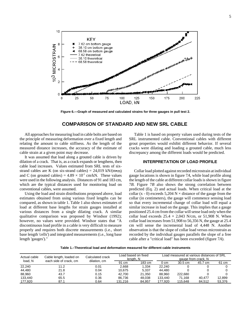

**Figure 6.—Graph of measured and calculated strains for three gauges in pull test 2.** 

## **COMPARISON OF STANDARD AND NEW SRL CABLE**

All approaches for measuring load in cable bolts are based on the principle of measuring deformation over a fixed length and relating the amount to cable stiffness. As the length of the measured distance increases, the accuracy of the estimate of cable strain at a given point may decrease.

strand cables are K (on six-strand cables) =  $24,019$  kN/(m•m) It was assumed that load along a grouted cable is driven by dilation of a crack. That is, as a crack expands or lengthens, then cable load increases. Values estimated from SRL tests of sixand C (on grouted cables) =  $4.89 \times 10^{-1}$  cm/kN. These values were used in the following analysis. Distances of 91 and 183 cm, which are the typical distances used for monitoring load on conventional cables, were assumed.

 estimates obtained from using various fixed lengths can be Using the load and strain distributions proposed above, load compared, as shown in table 1. Table 1 also shows estimates of load at different base lengths for strain gauges installed at various distances from a single dilating crack. A similar qualitative comparison was proposed by Windsor (1992); however, no values were provided. Windsor states that "A discontinuous load profile in a cable is very difficult to measure properly and requires both discrete measurements (i.e., short base length 'cells') and integrated measurements (i.e., long base length 'gauges')."

Table 1 is based on property values used during tests of the SRL instrumented cable. Conventional cables with different grout properties would exhibit different behavior. If several cracks were dilating and loading a grouted cable, much less discrepancy among the different loads would be predicted.

#### **INTERPRETATION OF LOAD PROFILE**

 so that every incremental change of collar load will equal a recorded by the individual gauges parallels the slope of a free Collar load plotted against recorded microstrain at individual gauge locations is shown in figure 7*A*, while load profile along the length of the cable at different collar loads is shown in figure 7*B*. Figure 7*B* also shows the strong correlation between predicted (Eq. 2) and actual loads. When critical load at the collar (x - 0) exceeds  $5,204 \text{ N} \times \text{distance}$  of the gauge from the collar (in centimeters), the gauge will commence sensing load similar increase in load on the gauge. This implies that a gauge positioned 25.4 cm from the collar will sense load only when the collar load exceeds  $25.4 \times 2,043$  N/cm, or 51,908 N. When collar load increases from 51,908 to 56,356 N, the gauge at 25.4 cm will sense the incremental load of 4,448 N. Another observation is that the slope of collar load versus microstrain as cable after a "critical load" has been exceeded (figure 7*A*).

**Table 1.–Theoretical load and deformation measured for different cable instruments** 

| Actual cable | Cable length, loaded on | Calculated crack | Load based on fixed<br>lenath. N |        |         | Load measured at various distances of SRL | gauge from crack. N |        |
|--------------|-------------------------|------------------|----------------------------------|--------|---------|-------------------------------------------|---------------------|--------|
| load, N      | each side of crack, cm  | dilation, cm     |                                  | 183 cm | 0 cm    | 30.5 cm                                   | 45.7 cm             | 61 cm  |
| 22,240       | 11.2                    | 0.01             | 2.668                            | 1.334  | 22.240  |                                           |                     |        |
| 44.480       | 21.8                    | 0.04             | 10.675                           | 5.337  | 44.480  |                                           |                     |        |
| 88,960       | 43.7                    | 0.15             | 42.700                           | 21.350 | 88.960  | 222.680                                   |                     |        |
| 133,440      | 65.5                    | 0.36             | 86.736                           | 48.038 | 133.440 | 71.168                                    | 40.477              | 12.899 |
| 177.920      | 87.1                    | 0.64             | 131.216                          | 84.957 | 177.920 | 115.648                                   | 84.512              | 53.376 |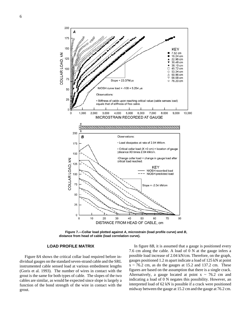



**Figure 7.—Collar load plotted against** *A***, microstrain (load profile curve) and** *B***, distance from head of cable (load correlation curve).** 

#### **LOAD PROFILE MATRIX**

 function of the bond strength of the wire in contact with the Figure 8*A* shows the critical collar load required before individual gauges on the standard seven-strand cable and the SRL instrumented cable sensed load at various embedment lengths (Goris et al. 1993). The number of wires in contact with the grout is the same for both types of cable. The slopes of the two cables are similar, as would be expected since slope is largely a grout.

In figure 8*B*, it is assumed that a gauge is positioned every 7.6 cm along the cable. A load of 0 N at the gauge infers a possible load increase of 2.04 kN/cm. Therefore, on the graph, gauges positioned 1.2 m apart indicate a load of 125 kN at point  $x \sim 76.2$  cm, as do the gauges at 15.2 and 137.2 cm. These figures are based on the assumption that there is a single crack. Alternatively, a gauge located at point  $x \sim 76.2$  cm and indicating a load of 0 N negates this possibility. However, an interpreted load of 62 kN is possible if a crack were positioned midway between the gauge at 15.2 cm and the gauge at 76.2 cm.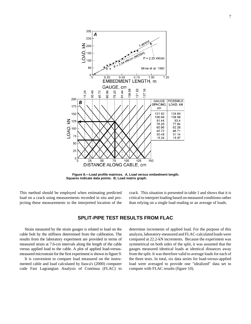

**Figure 8.—Load profile matrices.** *A***, Load versus embedment length. Squares indicate data points.** *B***, Load matrix graph.** 

This method should be employed when estimating predicted load on a crack using measurements recorded in situ and projecting these measurements to the interpreted location of the crack. This situation is presented in table 1 and shows that it is critical to interpret loading based on measured conditions rather than relying on a single load reading or an average of loads.

# **SPLIT-PIPE TEST RESULTS FROM FLAC**

Strain measured by the strain gauges is related to load on the cable bolt by the stiffness determined from the calibration. The results from the laboratory experiment are provided in terms of measured strain at 7.6-cm intervals along the length of the cable versus applied load to the cable. A plot of applied load-versusmeasured microstrain for the first experiment is shown in figure 9.

It is convenient to compare load measured on the instrumented cable and load calculated by Itasca's (2000) computer code Fast Lagrangian Analysis of Continua (FLAC) to determine increments of applied load. For the purpose of this analysis, laboratory-measured and FLAC-calculated loads were compared at 22.2-kN increments. Because the experiment was symmetrical on both sides of the split, it was assumed that the gauges measured identical loads at identical distances away from the split. It was therefore valid to average loads for each of the three tests. In total, six data series for load-versus-applied load were averaged to provide one "idealized" data set to compare with FLAC results (figure 10).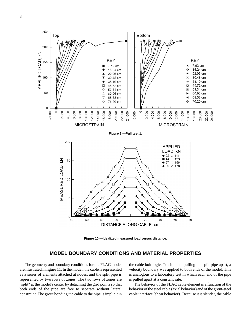

**Figure 10.—Idealized measured load versus distance.** 

# **MODEL BOUNDARY CONDITIONS AND MATERIAL PROPERTIES**

The geometry and boundary conditions for the FLAC model are illustrated in figure 11. In the model, the cable is represented as a series of elements attached at nodes, and the split pipe is represented by two rows of zones. The two rows of zones are "split" at the model's center by detaching the grid points so that both ends of the pipe are free to separate without lateral constraint. The grout bonding the cable to the pipe is implicit in

the cable bolt logic. To simulate pulling the split pipe apart, a velocity boundary was applied to both ends of the model. This is analogous to a laboratory test in which each end of the pipe is pulled apart at a constant rate.

The behavior of the FLAC cable element is a function of the behavior of the steel cable (axial behavior) and of the grout-steel cable interface (shear behavior). Because it is slender, the cable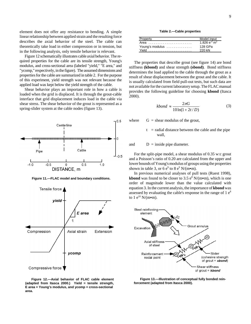element does not offer any resistance to bending. A simple linear relationship between applied strain and the resulting force describes the axial behavior of the steel. The cable can theoretically take load in either compression or in tension, but in the following analysis, only tensile behavior is relevant.

Figure 12 schematically illustrates cable axial behavior. The required properties for the cable are its tensile strength, Young's modulus, and cross-sectional area (labeled "yield," "E area," and "ycomp," respectively, in the figure). The assumed dimensions and properties for the cable are summarized in table 2. For the purpose of this experiment, yield strength was not relevant because the applied load was kept below the yield strength of the cable.

 Shear behavior plays an important role in how a cable is loaded when the grid is displaced. It is through the grout-cable interface that grid displacement induces load in the cable via shear stress. The shear behavior of the grout is represented a spring-slider system at the cable nodes (figure 13).



**Figure 11.—FLAC model and boundary conditions.** 



**Table 2.—Cable properties** 

| Property        | Model input                   |
|-----------------|-------------------------------|
| Area            | 1.826 $e^{-4}$ m <sup>2</sup> |
| Young's modulus | 128 GPa                       |
| Yield           | 220 kN                        |

The properties that describe grout (see figure 14) are bond stiffness **(kbond)** and shear strength **(sbond)**. Bond stiffness determines the load applied to the cable through the grout as a result of shear displacement between the grout and the cable. It is usually calculated from field pull-out tests, but such data are not available for the current laboratory setup. The FLAC manual provides the following guideline for choosing **kbond** (Itasca 2000).

s a 
$$
kbond \approx \frac{2\pi G}{10 \ln(1 + 2t/D)}
$$
 (3)

where  $G =$  shear modulus of the grout,

 $t =$  radial distance between the cable and the pipe wall,

and  $D =$  inside pipe diameter.

For the split-pipe model, a shear modulus of 0.35 w:c grout and a Poisson's ratio of 0.20 are calculated from the upper and lower bounds of Young's modulus of groups using the properties shown in table 3, or 6  $e^9$  to 8  $e^9$  N/(m•m).

In previous numerical analyses of pull tests (Ruest 1998), **kbond** was found to be closer to  $3.5 e^8$  N/(m•m), which is one order of magnitude lower than the value calculated with equation 3. In the current analysis, the importance of **kbond** was assessed by evaluating the cable's response in the range of  $1 e<sup>8</sup>$ to 1  $e^{10}$  N/(m•m).



**Figure 13.—Illustration of conceptual fully bonded reinforcement (adapted from Itasca 2000).** 

9

**Figure 12.—Axial behavior of FLAC cable element (adapted from Itasca 2000.) Yield = tensile strength, E area = Young's modulus, and ycomp = cross-sectional area.**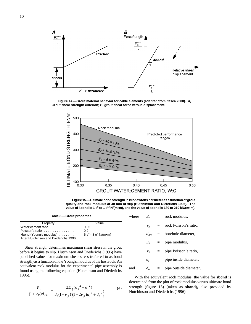

**Figure 14.—Grout material behavior for cable elements (adapted from Itasca 2000).** *A***, Grout shear strength criterion;** *B***, grout shear force versus displacement.** 



**Figure 15.—Ultimate bond strength in kilonewtons per meter as a function of grout quality and rock modulus at 40 mm of slip (Hutchinson and Dieterichs 1996). The**  value of kbond is 1 e<sup>8</sup> to 1 e<sup>10</sup> N/(m•m), and the value of sbond is 180 to 210 kN/(m•m).

**Table 3.—Grout properties** 

| Property                                | Value                 |
|-----------------------------------------|-----------------------|
| Water:cement ratio                      | 0.35                  |
| Poisson's ratio                         | 0.2                   |
| kbond (Young's modulus) $\ldots \ldots$ | $6e^9 - 8e^9$ N/(m•m) |
| After Hutchinson and Diederichs 1996.   |                       |

Shear strength determines maximum shear stress in the grout before it begins to slip. Hutchinson and Diederichs (1996) have published values for maximum shear stress (referred to as bond strength) as a function of the Young's modulus of the host rock. An equivalent rock modulus for the experimental pipe assembly is found using the following equation (Hutchinson and Diederichs 1996).

$$
\frac{E_r}{(1+\nu_R)d_{BH}} = \frac{2E_p(d_o^2 - d_i^2)}{d_i(1+\nu_p)\left(1 - 2\nu_p)d_i^2 + d_o^2\right)}
$$
(4) s

| where |              |     | $E_r$ = rock modulus,         |
|-------|--------------|-----|-------------------------------|
|       | $V_R$        | $=$ | rock Poisson's ratio,         |
|       |              |     | $d_{BH}$ = borehole diameter, |
|       | $E_{P}$      |     | $=$ pipe modulus,             |
|       | $V_P$        |     | $=$ pipe Poisson's ratio,     |
|       | $d_i$        |     | $=$ pipe inside diameter,     |
| and   | $d_{\sigma}$ | $=$ | pipe outside diameter.        |

With the equivalent rock modulus, the value for **sbond** is determined from the plot of rock modulus versus ultimate bond trength (figure 15) (taken as **sbond**)**,** also provided by Hutchinson and Diederichs (1996).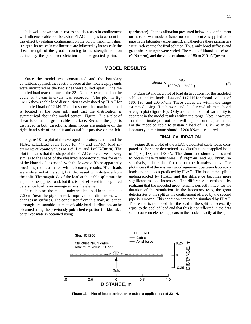It is well known that increases and decreases in confinement will influence cable bolt behavior. FLAC attempts to account for this effect by relating confinement on the bolt to maximum shear strength. Increases in confinement are followed by increases in the shear strength of the grout according to the strength criterion defined by the parameter **sfriction** and the grouted perimeter **(perimeter)**. In the calibration presented below, no confinement on the cable was modeled (since no confinement was applied to the pipe in the laboratory experiment), and therefore these parameters were irrelevant to the final solution. Thus, only bond stiffness and grout shear strength were varied. The value of **kbond** is  $1e^8$  to  $1$  $e^{10}$  N/(m•m), and the value of **sbond** is 180 to 210 kN/(m•m).

#### **MODEL RESULTS**

 is located at the pipe split and that the distribution is Once the model was constructed and the boundary conditions applied, the reaction forces at the modeled pipe ends were monitored as the two sides were pulled apart. Once the applied load reached one of the 22-kN increments, load on the cable at 7.6-cm intervals was recorded. The plot in figure 16 shows cable load distribution as calculated by FLAC for an applied load of 22 kN. The plot shows that maximum load symmetrical about the model center. Figure 17 is a plot of shear force at the grout-cable interface. Because the pipe is displaced in both directions, shear forces are negative on the right-hand side of the split and equal but positive on the lefthand side.

Figure 18 is a plot of the averaged laboratory results and the FLAC calculated cable loads for 44- and 117-kN load increments at **kbond** values of  $1e^8$ ,  $1e^9$ , and  $1e^{10}$  N/(m•m). The plot indicates that the shape of the FLAC cable curves is very similar to the shape of the idealized laboratory curves for each t of the **kbond** values tested, with the lowest stiffness apparently providing the best match with laboratory results. High loads were observed at the split, but decreased with distance from the split. The magnitude of the load at the cable split must be equal to the applied load, but this is not reflected in the plotted data since load is an average across the element.

In each case, the model underpredicts load in the cable at 7.6 cm (near the pipe center). Improvement diminishes with changes in stiffness. The conclusion from this analysis is that, although a reasonable estimate of cable load distribution can be obtained using the previously published equation for **kbond,** a better estimate is obtained using

$$
kbond \approx \frac{2\pi G}{100 \ln(1 + 2t/D)}\tag{5}
$$

Figure 19 shows a plot of load distributions for the modeled cable at applied loads of 44 and 117 kN for **sbond** values of 180, 190, and 200 kN/m. These values are within the range estimated using Hutchinson and Diederichs' ultimate bond strength plot (figure 10). Only a small amount of variability is apparent in the model results within the range. Note, however, that the ultimate pull-out load will depend on this parameter. For the modeled cable to sustain a load of 178 kN as in the laboratory, a minimum **sbond** of 200 kN/m is required.

#### **FINAL CALIBRATION**

Figure 20 is a plot of the FLAC-calculated cable loads compared to laboratory-determined load distributions at applied loads of 44, 89, 133, and 178 kN. The **kbond** and **sbond** values used o obtain these results were  $1 e^{8}$  N/(m•m) and 200 kN/m, repectively, as determined from the parametric analysis above. The plot shows that there is very good agreement between laboratory loads and the loads predicted by FLAC. The load at the split is underpredicted by FLAC, and the difference becomes more significant as load increases. The difference is explained by ealizing that the modeled grout remains perfectly intact for the duration of the simulation. In the laboratory tests, the grout deteriorates at the split as the confinement offered by the second pipe is removed. This condition can not be simulated by FLAC*.*  The reader is reminded that the load at the split is necessarily equal to the applied load and that this is not reflected in the data set because no element appears in the model exactly at the split.



**Figure 16.—Plot of load distribution in cable at applied load of 22 kN.**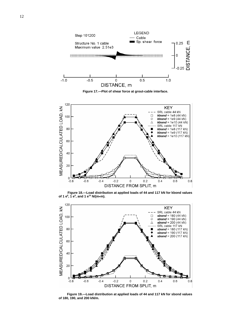





 **Figure 18.—Load distribution at applied loads of 44 and 117 kN for kbond values of 1 e<sup>8</sup>, 1 e<sup>9</sup>, and 1 e<sup>10</sup> N/(m•m).** 



 **Figure 19.—Load distribution at applied loads of 44 and 117 kN for sbond values of 180, 190, and 200 kN/m.**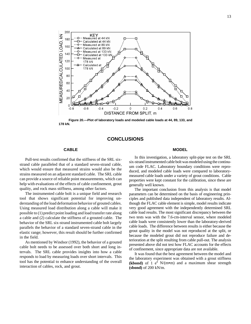

 **Figure 20.—Plot of laboratory loads and modeled cable loads at 44, 89, 133, and 178 kN.** 

#### **CONCLUSIONS**

#### **CABLE**

Pull-test results confirmed that the stiffness of the SRL sixstrand cable paralleled that of a standard seven-strand cable, which would ensure that measured strains would also be the strains measured on an adjacent standard cable. The SRL cable can provide a source of reliable point measurements, which can help with evaluations of the effects of cable confinement, grout quality, and rock mass stiffness, among other factors.

The instrumented cable bolt is a unique field and research tool that shows significant potential for improving understanding of the load deformation behavior of grouted cables. Using measured load distribution along a cable will make it possible to (1) predict point loading and load transfer rate along a cable and (2) calculate the stiffness of a grouted cable. The behavior of the SRL six-strand instrumented cable bolt largely parallels the behavior of a standard seven-strand cable in the elastic range; however, this result should be further confirmed in the field.

As mentioned by Windsor (1992), the behavior of a grouted cable bolt needs to be assessed over both short and long intervals. The SRL cable provides insights into how a cable responds to load by measuring loads over short intervals. This tool has the potential to enhance understanding of the overall interaction of cables, rock, and grout.

#### **MODEL**

In this investigation, a laboratory split-pipe test on the SRL six-strand instrumented cable bolt was modeled using the continuum code FLAC. Laboratory boundary conditions were reproduced, and modeled cable loads were compared to laboratorymeasured cable loads under a variety of grout conditions. Cable properties were kept constant for the calibration, since these are generally well known.

 grout quality in the model was not reproduced at the split, or The important conclusion from this analysis is that model parameters can be determined on the basis of engineering principles and published data independent of laboratory results. Although the FLAC cable element is simple, model results indicate very good agreement with the independently determined SRL cable load results. The most significant discrepancy between the two tests was with the 7.6-cm-interval sensor, where modeled cable loads were consistently lower than the laboratory-derived cable loads. The difference between results is either because the because the modeled grout did not reproduce failure and deterioration at the split resulting from cable pull-out. The analysis presented above did not test how FLAC accounts for the effects of confinement, since appropriate data are not available.

It was found that the best agreement between the model and the laboratory experiment was obtained with a grout stiffness **(kbond)** of 1  $e^8$  N/(m•m) and a maximum shear strength **(sbond)** of 200 kN/m.